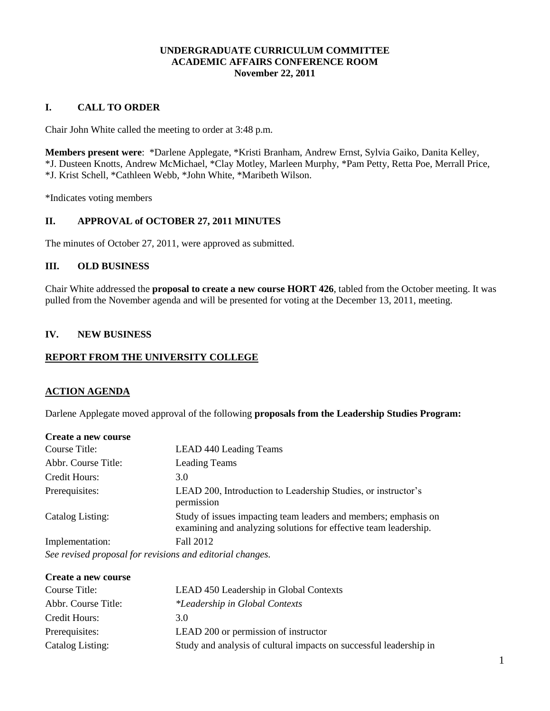## **UNDERGRADUATE CURRICULUM COMMITTEE ACADEMIC AFFAIRS CONFERENCE ROOM November 22, 2011**

### **I. CALL TO ORDER**

Chair John White called the meeting to order at 3:48 p.m.

**Members present were**: \*Darlene Applegate, \*Kristi Branham, Andrew Ernst, Sylvia Gaiko, Danita Kelley, \*J. Dusteen Knotts, Andrew McMichael, \*Clay Motley, Marleen Murphy, \*Pam Petty, Retta Poe, Merrall Price, \*J. Krist Schell, \*Cathleen Webb, \*John White, \*Maribeth Wilson.

\*Indicates voting members

## **II. APPROVAL of OCTOBER 27, 2011 MINUTES**

The minutes of October 27, 2011, were approved as submitted.

## **III. OLD BUSINESS**

Chair White addressed the **proposal to create a new course HORT 426**, tabled from the October meeting. It was pulled from the November agenda and will be presented for voting at the December 13, 2011, meeting.

### **IV. NEW BUSINESS**

### **REPORT FROM THE UNIVERSITY COLLEGE**

#### **ACTION AGENDA**

Darlene Applegate moved approval of the following **proposals from the Leadership Studies Program:**

| Create a new course                                       |                                                                                                                                     |
|-----------------------------------------------------------|-------------------------------------------------------------------------------------------------------------------------------------|
| Course Title:                                             | <b>LEAD 440 Leading Teams</b>                                                                                                       |
| Abbr. Course Title:                                       | <b>Leading Teams</b>                                                                                                                |
| Credit Hours:                                             | 3.0                                                                                                                                 |
| Prerequisites:                                            | LEAD 200, Introduction to Leadership Studies, or instructor's<br>permission                                                         |
| Catalog Listing:                                          | Study of issues impacting team leaders and members; emphasis on<br>examining and analyzing solutions for effective team leadership. |
| Implementation:                                           | Fall 2012                                                                                                                           |
| See revised proposal for revisions and editorial changes. |                                                                                                                                     |

| Create a new course |                                                                    |
|---------------------|--------------------------------------------------------------------|
| Course Title:       | LEAD 450 Leadership in Global Contexts                             |
| Abbr. Course Title: | <i>*Leadership in Global Contexts</i>                              |
| Credit Hours:       | 3.O                                                                |
| Prerequisites:      | LEAD 200 or permission of instructor                               |
| Catalog Listing:    | Study and analysis of cultural impacts on successful leadership in |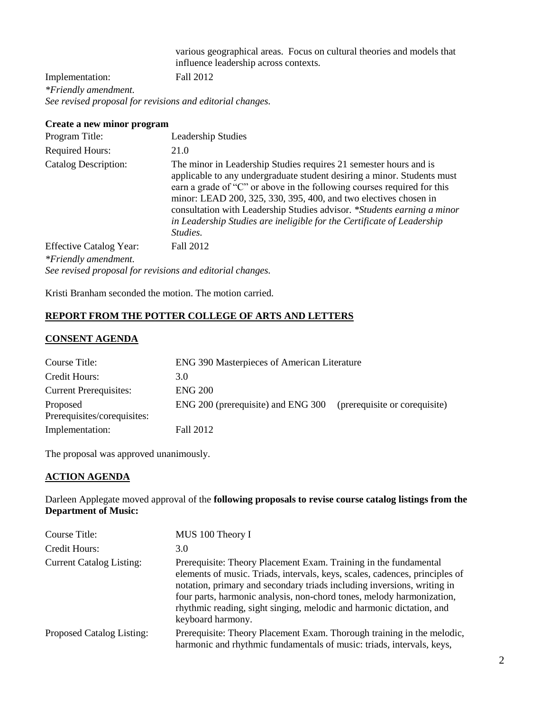various geographical areas. Focus on cultural theories and models that influence leadership across contexts.

Implementation: Fall 2012 *\*Friendly amendment. See revised proposal for revisions and editorial changes.*

#### **Create a new minor program**

| Program Title:                                         | Leadership Studies                                                                                                                                                                                                                                                                                                                                                                                                                                           |
|--------------------------------------------------------|--------------------------------------------------------------------------------------------------------------------------------------------------------------------------------------------------------------------------------------------------------------------------------------------------------------------------------------------------------------------------------------------------------------------------------------------------------------|
| <b>Required Hours:</b>                                 | 21.0                                                                                                                                                                                                                                                                                                                                                                                                                                                         |
| <b>Catalog Description:</b>                            | The minor in Leadership Studies requires 21 semester hours and is<br>applicable to any undergraduate student desiring a minor. Students must<br>earn a grade of "C" or above in the following courses required for this<br>minor: LEAD 200, 325, 330, 395, 400, and two electives chosen in<br>consultation with Leadership Studies advisor. *Students earning a minor<br>in Leadership Studies are ineligible for the Certificate of Leadership<br>Studies. |
| <b>Effective Catalog Year:</b><br>*Friendly amendment. | Fall 2012                                                                                                                                                                                                                                                                                                                                                                                                                                                    |

*See revised proposal for revisions and editorial changes.*

Kristi Branham seconded the motion. The motion carried.

## **REPORT FROM THE POTTER COLLEGE OF ARTS AND LETTERS**

### **CONSENT AGENDA**

| Course Title:                           | ENG 390 Masterpieces of American Literature |                               |
|-----------------------------------------|---------------------------------------------|-------------------------------|
| Credit Hours:                           | 3.0                                         |                               |
| <b>Current Prerequisites:</b>           | <b>ENG 200</b>                              |                               |
| Proposed<br>Prerequisites/corequisites: | ENG 200 (prerequisite) and ENG 300          | (prerequisite or corequisite) |
| Implementation:                         | Fall 2012                                   |                               |

The proposal was approved unanimously.

# **ACTION AGENDA**

Darleen Applegate moved approval of the **following proposals to revise course catalog listings from the Department of Music:**

| Course Title:                    | MUS 100 Theory I                                                                                                                                                                                                                                                                                                                                                                                 |
|----------------------------------|--------------------------------------------------------------------------------------------------------------------------------------------------------------------------------------------------------------------------------------------------------------------------------------------------------------------------------------------------------------------------------------------------|
| Credit Hours:                    | 3.0                                                                                                                                                                                                                                                                                                                                                                                              |
| <b>Current Catalog Listing:</b>  | Prerequisite: Theory Placement Exam. Training in the fundamental<br>elements of music. Triads, intervals, keys, scales, cadences, principles of<br>notation, primary and secondary triads including inversions, writing in<br>four parts, harmonic analysis, non-chord tones, melody harmonization,<br>rhythmic reading, sight singing, melodic and harmonic dictation, and<br>keyboard harmony. |
| <b>Proposed Catalog Listing:</b> | Prerequisite: Theory Placement Exam. Thorough training in the melodic,<br>harmonic and rhythmic fundamentals of music: triads, intervals, keys,                                                                                                                                                                                                                                                  |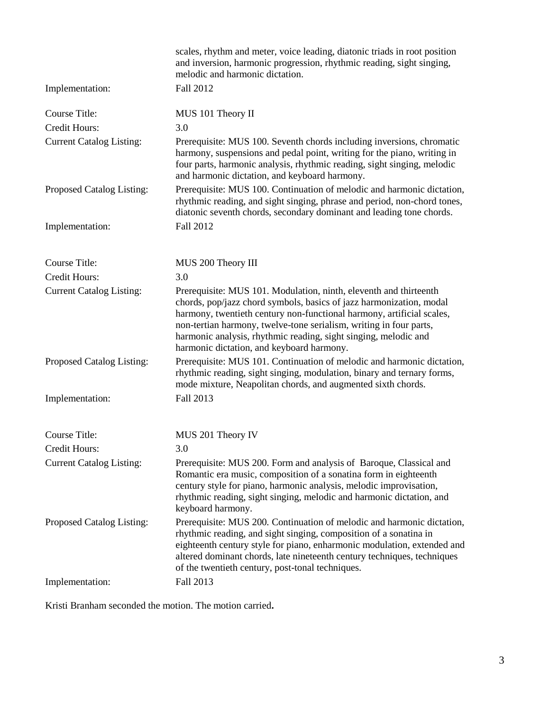|                                 | scales, rhythm and meter, voice leading, diatonic triads in root position<br>and inversion, harmonic progression, rhythmic reading, sight singing,<br>melodic and harmonic dictation.                                                                                                                                                                                                                   |
|---------------------------------|---------------------------------------------------------------------------------------------------------------------------------------------------------------------------------------------------------------------------------------------------------------------------------------------------------------------------------------------------------------------------------------------------------|
| Implementation:                 | Fall 2012                                                                                                                                                                                                                                                                                                                                                                                               |
| <b>Course Title:</b>            | MUS 101 Theory II                                                                                                                                                                                                                                                                                                                                                                                       |
| Credit Hours:                   | 3.0                                                                                                                                                                                                                                                                                                                                                                                                     |
| <b>Current Catalog Listing:</b> | Prerequisite: MUS 100. Seventh chords including inversions, chromatic<br>harmony, suspensions and pedal point, writing for the piano, writing in<br>four parts, harmonic analysis, rhythmic reading, sight singing, melodic<br>and harmonic dictation, and keyboard harmony.                                                                                                                            |
| Proposed Catalog Listing:       | Prerequisite: MUS 100. Continuation of melodic and harmonic dictation,<br>rhythmic reading, and sight singing, phrase and period, non-chord tones,<br>diatonic seventh chords, secondary dominant and leading tone chords.                                                                                                                                                                              |
| Implementation:                 | Fall 2012                                                                                                                                                                                                                                                                                                                                                                                               |
| <b>Course Title:</b>            | MUS 200 Theory III                                                                                                                                                                                                                                                                                                                                                                                      |
| Credit Hours:                   | 3.0                                                                                                                                                                                                                                                                                                                                                                                                     |
| <b>Current Catalog Listing:</b> | Prerequisite: MUS 101. Modulation, ninth, eleventh and thirteenth<br>chords, pop/jazz chord symbols, basics of jazz harmonization, modal<br>harmony, twentieth century non-functional harmony, artificial scales,<br>non-tertian harmony, twelve-tone serialism, writing in four parts,<br>harmonic analysis, rhythmic reading, sight singing, melodic and<br>harmonic dictation, and keyboard harmony. |
| Proposed Catalog Listing:       | Prerequisite: MUS 101. Continuation of melodic and harmonic dictation,<br>rhythmic reading, sight singing, modulation, binary and ternary forms,<br>mode mixture, Neapolitan chords, and augmented sixth chords.                                                                                                                                                                                        |
| Implementation:                 | Fall 2013                                                                                                                                                                                                                                                                                                                                                                                               |
| <b>Course Title:</b>            | MUS 201 Theory IV                                                                                                                                                                                                                                                                                                                                                                                       |
| Credit Hours:                   | 3.0                                                                                                                                                                                                                                                                                                                                                                                                     |
| <b>Current Catalog Listing:</b> | Prerequisite: MUS 200. Form and analysis of Baroque, Classical and<br>Romantic era music, composition of a sonatina form in eighteenth<br>century style for piano, harmonic analysis, melodic improvisation,<br>rhythmic reading, sight singing, melodic and harmonic dictation, and<br>keyboard harmony.                                                                                               |
| Proposed Catalog Listing:       | Prerequisite: MUS 200. Continuation of melodic and harmonic dictation,<br>rhythmic reading, and sight singing, composition of a sonatina in<br>eighteenth century style for piano, enharmonic modulation, extended and<br>altered dominant chords, late nineteenth century techniques, techniques<br>of the twentieth century, post-tonal techniques.                                                   |
| Implementation:                 | Fall 2013                                                                                                                                                                                                                                                                                                                                                                                               |

Kristi Branham seconded the motion. The motion carried**.**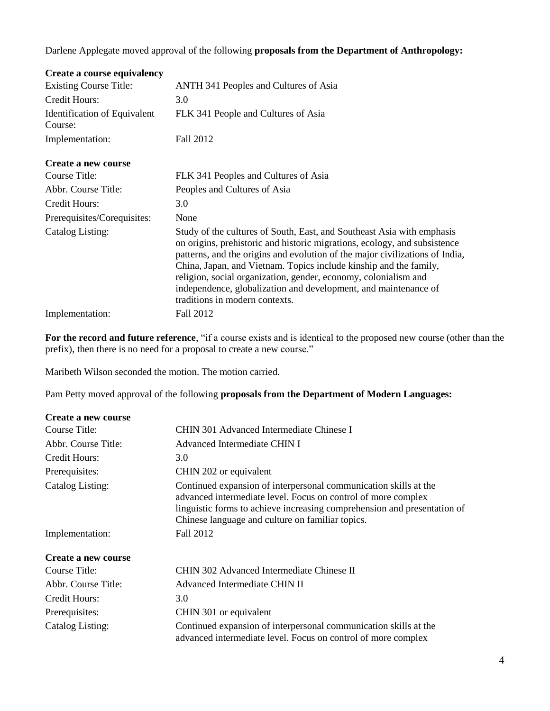Darlene Applegate moved approval of the following **proposals from the Department of Anthropology:**

| Create a course equivalency             |                                                                                                                                                                                                                                                                                                                                                                                                                                                                                  |
|-----------------------------------------|----------------------------------------------------------------------------------------------------------------------------------------------------------------------------------------------------------------------------------------------------------------------------------------------------------------------------------------------------------------------------------------------------------------------------------------------------------------------------------|
| <b>Existing Course Title:</b>           | ANTH 341 Peoples and Cultures of Asia                                                                                                                                                                                                                                                                                                                                                                                                                                            |
| Credit Hours:                           | 3.0                                                                                                                                                                                                                                                                                                                                                                                                                                                                              |
| Identification of Equivalent<br>Course: | FLK 341 People and Cultures of Asia                                                                                                                                                                                                                                                                                                                                                                                                                                              |
| Implementation:                         | Fall 2012                                                                                                                                                                                                                                                                                                                                                                                                                                                                        |
| Create a new course                     |                                                                                                                                                                                                                                                                                                                                                                                                                                                                                  |
| Course Title:                           | FLK 341 Peoples and Cultures of Asia                                                                                                                                                                                                                                                                                                                                                                                                                                             |
| Abbr. Course Title:                     | Peoples and Cultures of Asia                                                                                                                                                                                                                                                                                                                                                                                                                                                     |
| Credit Hours:                           | 3.0                                                                                                                                                                                                                                                                                                                                                                                                                                                                              |
| Prerequisites/Corequisites:             | None                                                                                                                                                                                                                                                                                                                                                                                                                                                                             |
| <b>Catalog Listing:</b>                 | Study of the cultures of South, East, and Southeast Asia with emphasis<br>on origins, prehistoric and historic migrations, ecology, and subsistence<br>patterns, and the origins and evolution of the major civilizations of India,<br>China, Japan, and Vietnam. Topics include kinship and the family,<br>religion, social organization, gender, economy, colonialism and<br>independence, globalization and development, and maintenance of<br>traditions in modern contexts. |
| Implementation:                         | Fall 2012                                                                                                                                                                                                                                                                                                                                                                                                                                                                        |

**For the record and future reference**, "if a course exists and is identical to the proposed new course (other than the prefix), then there is no need for a proposal to create a new course."

Maribeth Wilson seconded the motion. The motion carried.

Pam Petty moved approval of the following **proposals from the Department of Modern Languages:**

| Create a new course |                                                                                                                                                                                                                                                                   |
|---------------------|-------------------------------------------------------------------------------------------------------------------------------------------------------------------------------------------------------------------------------------------------------------------|
| Course Title:       | CHIN 301 Advanced Intermediate Chinese I                                                                                                                                                                                                                          |
| Abbr. Course Title: | Advanced Intermediate CHIN I                                                                                                                                                                                                                                      |
| Credit Hours:       | 3.0                                                                                                                                                                                                                                                               |
| Prerequisites:      | CHIN 202 or equivalent                                                                                                                                                                                                                                            |
| Catalog Listing:    | Continued expansion of interpersonal communication skills at the<br>advanced intermediate level. Focus on control of more complex<br>linguistic forms to achieve increasing comprehension and presentation of<br>Chinese language and culture on familiar topics. |
| Implementation:     | Fall 2012                                                                                                                                                                                                                                                         |
| Create a new course |                                                                                                                                                                                                                                                                   |
| Course Title:       | CHIN 302 Advanced Intermediate Chinese II                                                                                                                                                                                                                         |
| Abbr. Course Title: | Advanced Intermediate CHIN II                                                                                                                                                                                                                                     |
| Credit Hours:       | 3.0                                                                                                                                                                                                                                                               |
| Prerequisites:      | CHIN 301 or equivalent                                                                                                                                                                                                                                            |
| Catalog Listing:    | Continued expansion of interpersonal communication skills at the<br>advanced intermediate level. Focus on control of more complex                                                                                                                                 |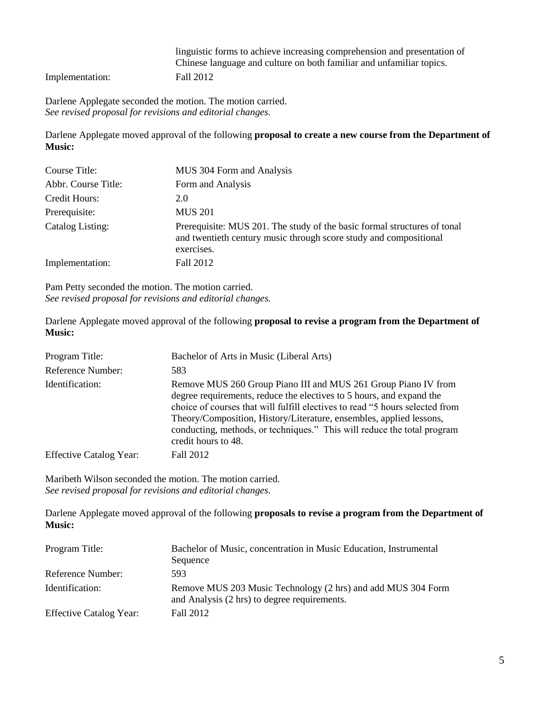linguistic forms to achieve increasing comprehension and presentation of Chinese language and culture on both familiar and unfamiliar topics.

Implementation: Fall 2012

Darlene Applegate seconded the motion. The motion carried. *See revised proposal for revisions and editorial changes.*

Darlene Applegate moved approval of the following **proposal to create a new course from the Department of Music:**

| Course Title:       | MUS 304 Form and Analysis                                                                                                                                   |
|---------------------|-------------------------------------------------------------------------------------------------------------------------------------------------------------|
| Abbr. Course Title: | Form and Analysis                                                                                                                                           |
| Credit Hours:       | 2.0                                                                                                                                                         |
| Prerequisite:       | <b>MUS 201</b>                                                                                                                                              |
| Catalog Listing:    | Prerequisite: MUS 201. The study of the basic formal structures of tonal<br>and twentieth century music through score study and compositional<br>exercises. |
| Implementation:     | Fall 2012                                                                                                                                                   |

Pam Petty seconded the motion. The motion carried. *See revised proposal for revisions and editorial changes.*

Darlene Applegate moved approval of the following **proposal to revise a program from the Department of Music:**

| Program Title:                 | Bachelor of Arts in Music (Liberal Arts)                                                                                                                                                                                                                                                                                                                                                        |
|--------------------------------|-------------------------------------------------------------------------------------------------------------------------------------------------------------------------------------------------------------------------------------------------------------------------------------------------------------------------------------------------------------------------------------------------|
| Reference Number:              | 583                                                                                                                                                                                                                                                                                                                                                                                             |
| Identification:                | Remove MUS 260 Group Piano III and MUS 261 Group Piano IV from<br>degree requirements, reduce the electives to 5 hours, and expand the<br>choice of courses that will fulfill electives to read "5 hours selected from<br>Theory/Composition, History/Literature, ensembles, applied lessons,<br>conducting, methods, or techniques." This will reduce the total program<br>credit hours to 48. |
| <b>Effective Catalog Year:</b> | Fall 2012                                                                                                                                                                                                                                                                                                                                                                                       |

Maribeth Wilson seconded the motion. The motion carried. *See revised proposal for revisions and editorial changes.*

Darlene Applegate moved approval of the following **proposals to revise a program from the Department of Music:**

| Program Title:                 | Bachelor of Music, concentration in Music Education, Instrumental<br>Sequence                                |
|--------------------------------|--------------------------------------------------------------------------------------------------------------|
| Reference Number:              | 593                                                                                                          |
| Identification:                | Remove MUS 203 Music Technology (2 hrs) and add MUS 304 Form<br>and Analysis (2 hrs) to degree requirements. |
| <b>Effective Catalog Year:</b> | Fall 2012                                                                                                    |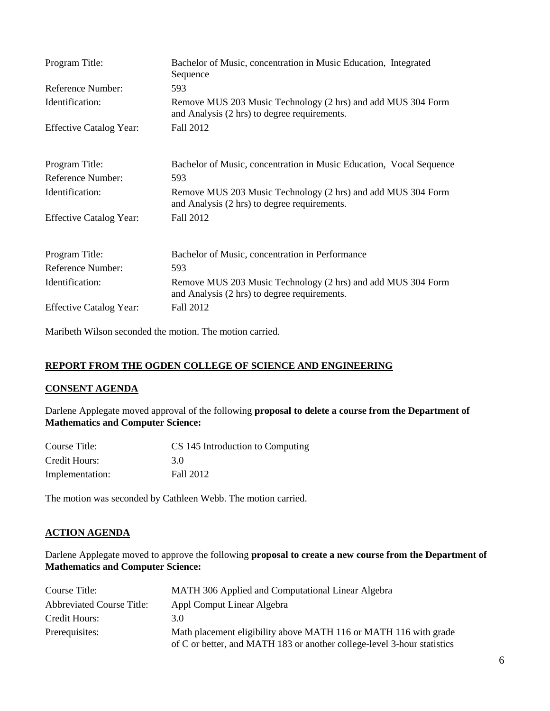| Program Title:                 | Bachelor of Music, concentration in Music Education, Integrated<br>Sequence                                  |
|--------------------------------|--------------------------------------------------------------------------------------------------------------|
| Reference Number:              | 593                                                                                                          |
| Identification:                | Remove MUS 203 Music Technology (2 hrs) and add MUS 304 Form<br>and Analysis (2 hrs) to degree requirements. |
| <b>Effective Catalog Year:</b> | Fall 2012                                                                                                    |
| Program Title:                 | Bachelor of Music, concentration in Music Education, Vocal Sequence                                          |
| Reference Number:              | 593                                                                                                          |
| Identification:                | Remove MUS 203 Music Technology (2 hrs) and add MUS 304 Form<br>and Analysis (2 hrs) to degree requirements. |
| <b>Effective Catalog Year:</b> | Fall 2012                                                                                                    |
| Program Title:                 | Bachelor of Music, concentration in Performance                                                              |
| <b>Reference Number:</b>       | 593                                                                                                          |
| Identification:                | Remove MUS 203 Music Technology (2 hrs) and add MUS 304 Form<br>and Analysis (2 hrs) to degree requirements. |
| <b>Effective Catalog Year:</b> | Fall 2012                                                                                                    |

Maribeth Wilson seconded the motion. The motion carried.

# **REPORT FROM THE OGDEN COLLEGE OF SCIENCE AND ENGINEERING**

### **CONSENT AGENDA**

Darlene Applegate moved approval of the following **proposal to delete a course from the Department of Mathematics and Computer Science:**

| Course Title:   | CS 145 Introduction to Computing |
|-----------------|----------------------------------|
| Credit Hours:   | 30                               |
| Implementation: | Fall 2012                        |

The motion was seconded by Cathleen Webb. The motion carried.

# **ACTION AGENDA**

Darlene Applegate moved to approve the following **proposal to create a new course from the Department of Mathematics and Computer Science:**

| Course Title:                    | MATH 306 Applied and Computational Linear Algebra                                                                                           |
|----------------------------------|---------------------------------------------------------------------------------------------------------------------------------------------|
| <b>Abbreviated Course Title:</b> | Appl Comput Linear Algebra                                                                                                                  |
| Credit Hours:                    | 3.0                                                                                                                                         |
| Prerequisites:                   | Math placement eligibility above MATH 116 or MATH 116 with grade<br>of C or better, and MATH 183 or another college-level 3-hour statistics |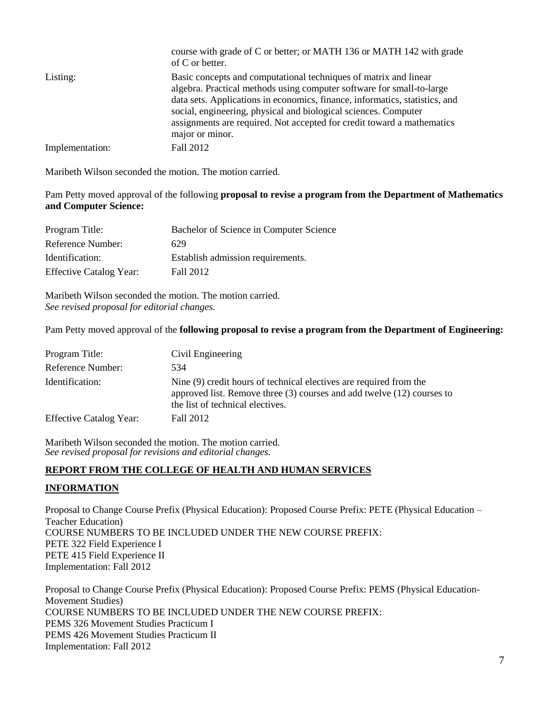|                 | course with grade of C or better; or MATH 136 or MATH 142 with grade<br>of C or better.                                                                                                                                                                                                                                                                                                  |
|-----------------|------------------------------------------------------------------------------------------------------------------------------------------------------------------------------------------------------------------------------------------------------------------------------------------------------------------------------------------------------------------------------------------|
| Listing:        | Basic concepts and computational techniques of matrix and linear<br>algebra. Practical methods using computer software for small-to-large<br>data sets. Applications in economics, finance, informatics, statistics, and<br>social, engineering, physical and biological sciences. Computer<br>assignments are required. Not accepted for credit toward a mathematics<br>major or minor. |
| Implementation: | Fall 2012                                                                                                                                                                                                                                                                                                                                                                                |

Maribeth Wilson seconded the motion. The motion carried.

Pam Petty moved approval of the following **proposal to revise a program from the Department of Mathematics and Computer Science:**

| Program Title:                 | Bachelor of Science in Computer Science |
|--------------------------------|-----------------------------------------|
| Reference Number:              | 629                                     |
| Identification:                | Establish admission requirements.       |
| <b>Effective Catalog Year:</b> | <b>Fall 2012</b>                        |

Maribeth Wilson seconded the motion. The motion carried. *See revised proposal for editorial changes.*

Pam Petty moved approval of the **following proposal to revise a program from the Department of Engineering:**

| Program Title:                 | Civil Engineering                                                                                                                                                                    |
|--------------------------------|--------------------------------------------------------------------------------------------------------------------------------------------------------------------------------------|
| Reference Number:              | 534                                                                                                                                                                                  |
| Identification:                | Nine (9) credit hours of technical electives are required from the<br>approved list. Remove three $(3)$ courses and add twelve $(12)$ courses to<br>the list of technical electives. |
| <b>Effective Catalog Year:</b> | Fall 2012                                                                                                                                                                            |

Maribeth Wilson seconded the motion. The motion carried. *See revised proposal for revisions and editorial changes.*

### **REPORT FROM THE COLLEGE OF HEALTH AND HUMAN SERVICES**

### **INFORMATION**

Proposal to Change Course Prefix (Physical Education): Proposed Course Prefix: PETE (Physical Education – Teacher Education) COURSE NUMBERS TO BE INCLUDED UNDER THE NEW COURSE PREFIX: PETE 322 Field Experience I PETE 415 Field Experience II Implementation: Fall 2012

Proposal to Change Course Prefix (Physical Education): Proposed Course Prefix: PEMS (Physical Education-Movement Studies) COURSE NUMBERS TO BE INCLUDED UNDER THE NEW COURSE PREFIX: PEMS 326 Movement Studies Practicum I PEMS 426 Movement Studies Practicum II Implementation: Fall 2012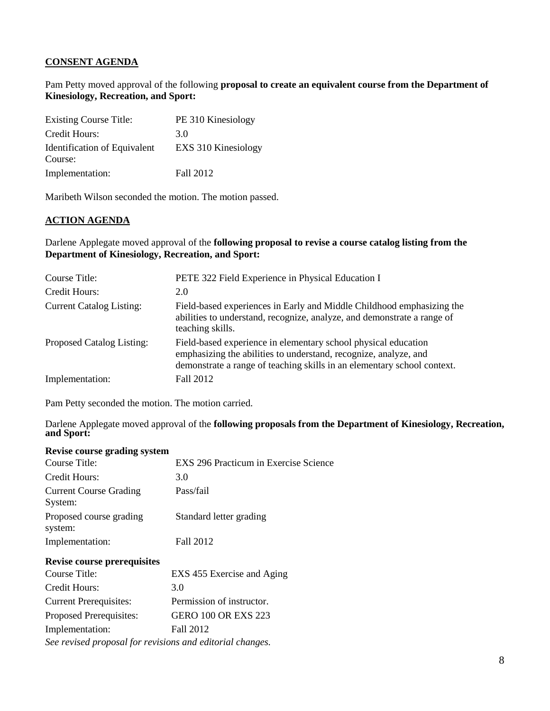# **CONSENT AGENDA**

Pam Petty moved approval of the following **proposal to create an equivalent course from the Department of Kinesiology, Recreation, and Sport:**

| <b>Existing Course Title:</b>           | PE 310 Kinesiology  |
|-----------------------------------------|---------------------|
| Credit Hours:                           | 3 O                 |
| Identification of Equivalent<br>Course: | EXS 310 Kinesiology |
| Implementation:                         | Fall 2012           |

Maribeth Wilson seconded the motion. The motion passed.

#### **ACTION AGENDA**

Darlene Applegate moved approval of the **following proposal to revise a course catalog listing from the Department of Kinesiology, Recreation, and Sport:**

| Course Title:                    | PETE 322 Field Experience in Physical Education I                                                                                                                                                             |
|----------------------------------|---------------------------------------------------------------------------------------------------------------------------------------------------------------------------------------------------------------|
| Credit Hours:                    | 2.0                                                                                                                                                                                                           |
| <b>Current Catalog Listing:</b>  | Field-based experiences in Early and Middle Childhood emphasizing the<br>abilities to understand, recognize, analyze, and demonstrate a range of<br>teaching skills.                                          |
| <b>Proposed Catalog Listing:</b> | Field-based experience in elementary school physical education<br>emphasizing the abilities to understand, recognize, analyze, and<br>demonstrate a range of teaching skills in an elementary school context. |
| Implementation:                  | Fall 2012                                                                                                                                                                                                     |

Pam Petty seconded the motion. The motion carried.

Darlene Applegate moved approval of the **following proposals from the Department of Kinesiology, Recreation, and Sport:**

| Revise course grading system                              |                                       |
|-----------------------------------------------------------|---------------------------------------|
| Course Title:                                             | EXS 296 Practicum in Exercise Science |
| Credit Hours:                                             | 3.0                                   |
| <b>Current Course Grading</b><br>System:                  | Pass/fail                             |
| Proposed course grading<br>system:                        | Standard letter grading               |
| Implementation:                                           | Fall 2012                             |
| <b>Revise course prerequisites</b>                        |                                       |
| Course Title:                                             | EXS 455 Exercise and Aging            |
| Credit Hours:                                             | 3.0                                   |
| <b>Current Prerequisites:</b>                             | Permission of instructor.             |
| Proposed Prerequisites:                                   | <b>GERO 100 OR EXS 223</b>            |
| Implementation:                                           | Fall 2012                             |
| See revised proposal for revisions and editorial changes. |                                       |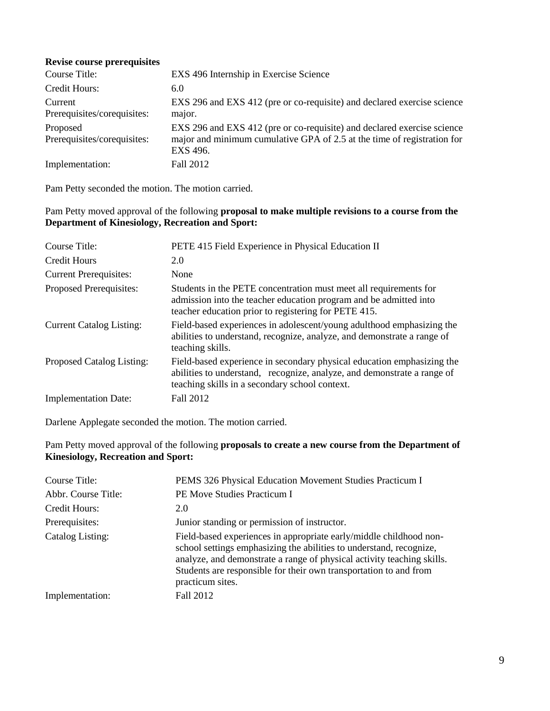#### **Revise course prerequisites**

| Course Title:                           | EXS 496 Internship in Exercise Science                                                                                                                         |
|-----------------------------------------|----------------------------------------------------------------------------------------------------------------------------------------------------------------|
| Credit Hours:                           | 6.0                                                                                                                                                            |
| Current<br>Prerequisites/corequisites:  | EXS 296 and EXS 412 (pre or co-requisite) and declared exercise science<br>major.                                                                              |
| Proposed<br>Prerequisites/corequisites: | EXS 296 and EXS 412 (pre or co-requisite) and declared exercise science<br>major and minimum cumulative GPA of 2.5 at the time of registration for<br>EXS 496. |
| Implementation:                         | Fall 2012                                                                                                                                                      |

Pam Petty seconded the motion. The motion carried.

### Pam Petty moved approval of the following **proposal to make multiple revisions to a course from the Department of Kinesiology, Recreation and Sport:**

| Course Title:                    | PETE 415 Field Experience in Physical Education II                                                                                                                                                  |
|----------------------------------|-----------------------------------------------------------------------------------------------------------------------------------------------------------------------------------------------------|
| Credit Hours                     | 2.0                                                                                                                                                                                                 |
| <b>Current Prerequisites:</b>    | None                                                                                                                                                                                                |
| Proposed Prerequisites:          | Students in the PETE concentration must meet all requirements for<br>admission into the teacher education program and be admitted into<br>teacher education prior to registering for PETE 415.      |
| <b>Current Catalog Listing:</b>  | Field-based experiences in adolescent/young adulthood emphasizing the<br>abilities to understand, recognize, analyze, and demonstrate a range of<br>teaching skills.                                |
| <b>Proposed Catalog Listing:</b> | Field-based experience in secondary physical education emphasizing the<br>abilities to understand, recognize, analyze, and demonstrate a range of<br>teaching skills in a secondary school context. |
| <b>Implementation Date:</b>      | Fall 2012                                                                                                                                                                                           |

Darlene Applegate seconded the motion. The motion carried.

# Pam Petty moved approval of the following **proposals to create a new course from the Department of Kinesiology, Recreation and Sport:**

| Course Title:       | PEMS 326 Physical Education Movement Studies Practicum I                                                                                                                                                                                                                                                     |
|---------------------|--------------------------------------------------------------------------------------------------------------------------------------------------------------------------------------------------------------------------------------------------------------------------------------------------------------|
| Abbr. Course Title: | <b>PE Move Studies Practicum I</b>                                                                                                                                                                                                                                                                           |
| Credit Hours:       | 2.0                                                                                                                                                                                                                                                                                                          |
| Prerequisites:      | Junior standing or permission of instructor.                                                                                                                                                                                                                                                                 |
| Catalog Listing:    | Field-based experiences in appropriate early/middle childhood non-<br>school settings emphasizing the abilities to understand, recognize,<br>analyze, and demonstrate a range of physical activity teaching skills.<br>Students are responsible for their own transportation to and from<br>practicum sites. |
| Implementation:     | Fall 2012                                                                                                                                                                                                                                                                                                    |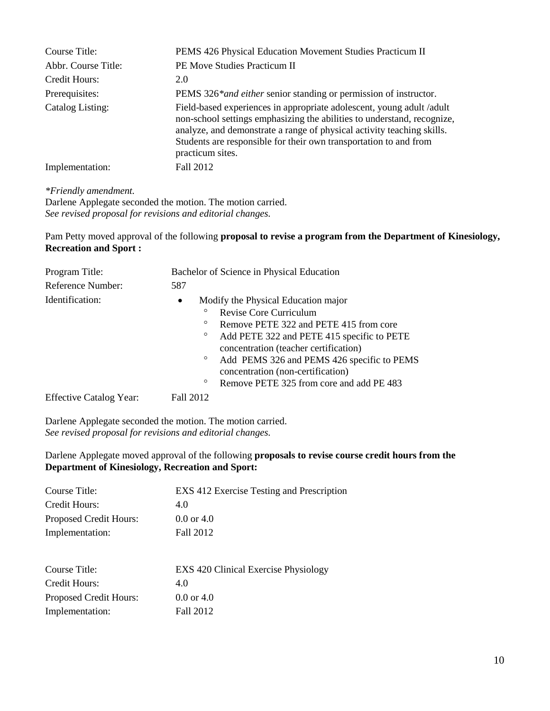| Course Title:       | PEMS 426 Physical Education Movement Studies Practicum II                                                                                                                                                                                                                                                          |
|---------------------|--------------------------------------------------------------------------------------------------------------------------------------------------------------------------------------------------------------------------------------------------------------------------------------------------------------------|
| Abbr. Course Title: | <b>PE Move Studies Practicum II</b>                                                                                                                                                                                                                                                                                |
| Credit Hours:       | 2.0                                                                                                                                                                                                                                                                                                                |
| Prerequisites:      | PEMS 326* <i>and either senior standing or permission of instructor</i> .                                                                                                                                                                                                                                          |
| Catalog Listing:    | Field-based experiences in appropriate adolescent, young adult/adult<br>non-school settings emphasizing the abilities to understand, recognize,<br>analyze, and demonstrate a range of physical activity teaching skills.<br>Students are responsible for their own transportation to and from<br>practicum sites. |
| Implementation:     | Fall 2012                                                                                                                                                                                                                                                                                                          |
|                     |                                                                                                                                                                                                                                                                                                                    |

#### *\*Friendly amendment.*

Darlene Applegate seconded the motion. The motion carried. *See revised proposal for revisions and editorial changes.*

## Pam Petty moved approval of the following **proposal to revise a program from the Department of Kinesiology, Recreation and Sport :**

| Program Title:                 | Bachelor of Science in Physical Education |                                                                                     |
|--------------------------------|-------------------------------------------|-------------------------------------------------------------------------------------|
| Reference Number:              | 587                                       |                                                                                     |
| Identification:                | $\bullet$                                 | Modify the Physical Education major                                                 |
|                                | $\circ$                                   | Revise Core Curriculum                                                              |
|                                | $\circ$                                   | Remove PETE 322 and PETE 415 from core                                              |
|                                | $\circ$                                   | Add PETE 322 and PETE 415 specific to PETE<br>concentration (teacher certification) |
|                                | $\circ$                                   | Add PEMS 326 and PEMS 426 specific to PEMS<br>concentration (non-certification)     |
|                                | $\circ$                                   | Remove PETE 325 from core and add PE 483                                            |
| <b>Effective Catalog Year:</b> | Fall 2012                                 |                                                                                     |

Darlene Applegate seconded the motion. The motion carried. *See revised proposal for revisions and editorial changes.*

# Darlene Applegate moved approval of the following **proposals to revise course credit hours from the Department of Kinesiology, Recreation and Sport:**

| Course Title:                 | EXS 412 Exercise Testing and Prescription   |
|-------------------------------|---------------------------------------------|
| Credit Hours:                 | 4.0                                         |
| <b>Proposed Credit Hours:</b> | $0.0$ or 4.0                                |
| Implementation:               | Fall 2012                                   |
|                               |                                             |
| Course Title:                 | <b>EXS</b> 420 Clinical Exercise Physiology |
| Credit Hours:                 | 4.0                                         |
| Proposed Credit Hours:        | $0.0$ or 4.0                                |
| Implementation:               | Fall 2012                                   |